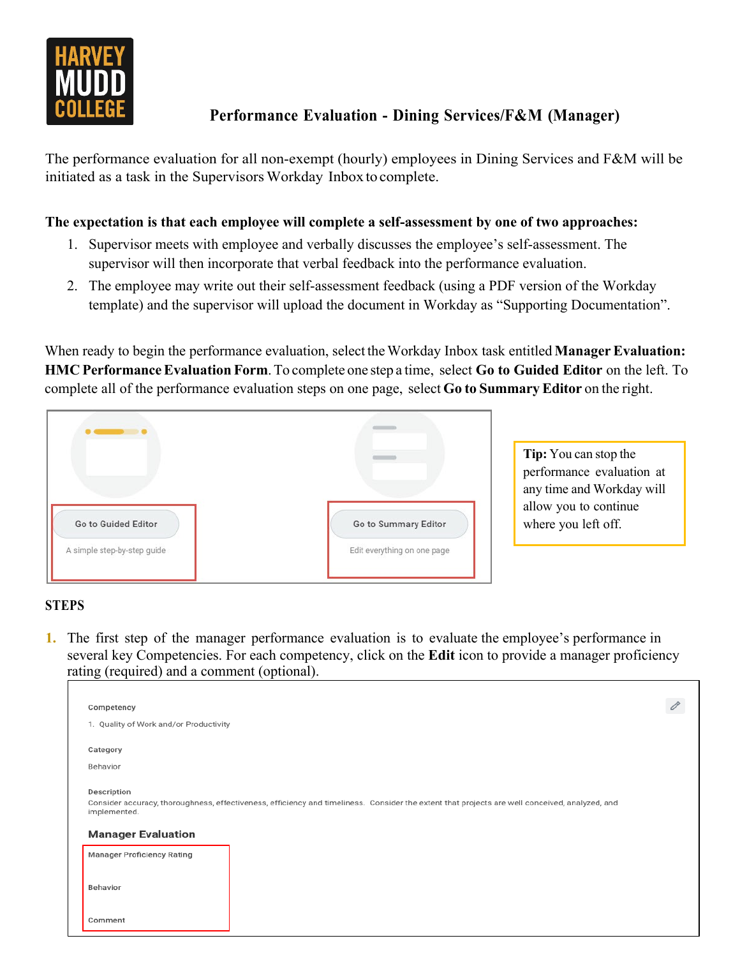

## **Performance Evaluation - Dining Services/F&M (Manager)**

The performance evaluation for all non-exempt (hourly) employees in Dining Services and F&M will be initiated as a task in the Supervisors Workday Inbox to complete.

## **The expectation is that each employee will complete a self-assessment by one of two approaches:**

- 1. Supervisor meets with employee and verbally discusses the employee's self-assessment. The supervisor will then incorporate that verbal feedback into the performance evaluation.
- 2. The employee may write out their self-assessment feedback (using a PDF version of the Workday template) and the supervisor will upload the document in Workday as "Supporting Documentation".

When ready to begin the performance evaluation, select the Workday Inbox task entitled **Manager Evaluation: HMC PerformanceEvaluation Form**. To complete one step a time, select **Go to Guided Editor** on the left. To complete all of the performance evaluation steps on one page, select **Go to Summary Editor** on the right.



**Tip:** You can stop the performance evaluation at any time and Workday will allow you to continue where you left off.

## **STEPS**

**1.** The first step of the manager performance evaluation is to evaluate the employee's performance in several key Competencies. For each competency, click on the **Edit** icon to provide a manager proficiency rating (required) and a comment (optional).

| Competency                                                                                                                                                                    |  |
|-------------------------------------------------------------------------------------------------------------------------------------------------------------------------------|--|
| 1. Quality of Work and/or Productivity                                                                                                                                        |  |
| Category                                                                                                                                                                      |  |
| Behavior                                                                                                                                                                      |  |
| Description<br>Consider accuracy, thoroughness, effectiveness, efficiency and timeliness. Consider the extent that projects are well conceived, analyzed, and<br>implemented. |  |
| <b>Manager Evaluation</b>                                                                                                                                                     |  |
| <b>Manager Proficiency Rating</b>                                                                                                                                             |  |
| Behavior                                                                                                                                                                      |  |
| Comment                                                                                                                                                                       |  |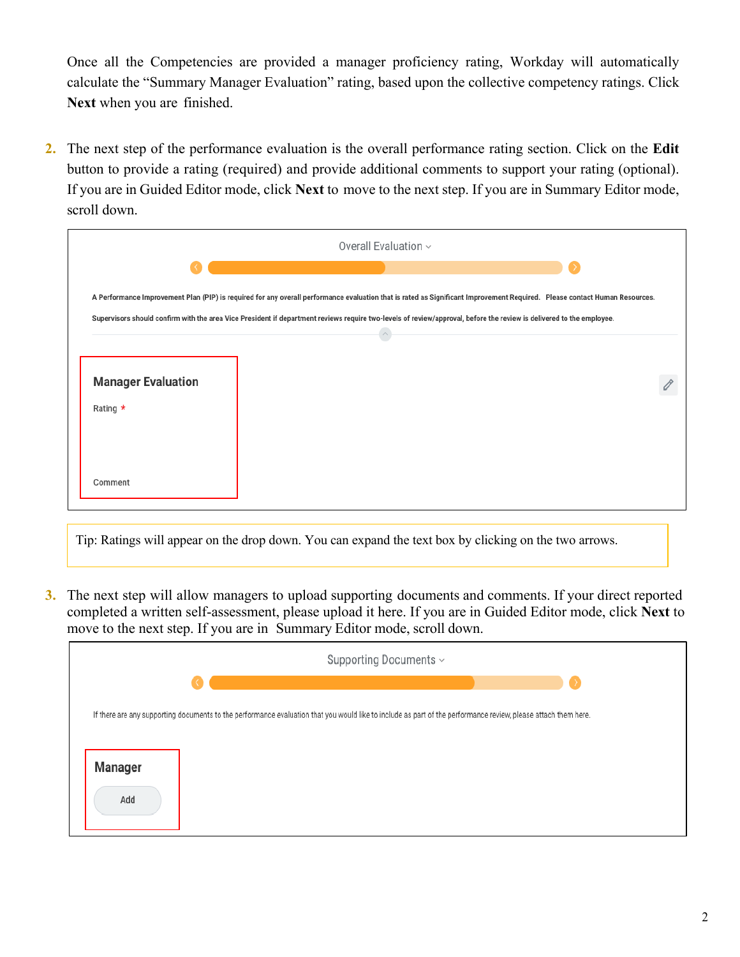Once all the Competencies are provided a manager proficiency rating, Workday will automatically calculate the "Summary Manager Evaluation" rating, based upon the collective competency ratings. Click **Next** when you are finished.

**2.** The next step of the performance evaluation is the overall performance rating section. Click on the **Edit** button to provide a rating (required) and provide additional comments to support your rating (optional). If you are in Guided Editor mode, click **Next** to move to the next step. If you are in Summary Editor mode, scroll down.

|                           | Overall Evaluation $\sim$                                                                                                                                                  |  |
|---------------------------|----------------------------------------------------------------------------------------------------------------------------------------------------------------------------|--|
|                           |                                                                                                                                                                            |  |
|                           | A Performance Improvement Plan (PIP) is required for any overall performance evaluation that is rated as Significant Improvement Required. Please contact Human Resources. |  |
|                           | Supervisors should confirm with the area Vice President if department reviews require two-levels of review/approval, before the review is delivered to the employee.       |  |
|                           |                                                                                                                                                                            |  |
| <b>Manager Evaluation</b> |                                                                                                                                                                            |  |
|                           |                                                                                                                                                                            |  |
| Rating $\star$            |                                                                                                                                                                            |  |
|                           |                                                                                                                                                                            |  |
|                           |                                                                                                                                                                            |  |
| Comment                   |                                                                                                                                                                            |  |
|                           |                                                                                                                                                                            |  |

Tip: Ratings will appear on the drop down. You can expand the text box by clicking on the two arrows.

**3.** The next step will allow managers to upload supporting documents and comments. If your direct reported completed a written self-assessment, please upload it here. If you are in Guided Editor mode, click **Next** to move to the next step. If you are in Summary Editor mode, scroll down.

|         | Supporting Documents ~                                                                                                                                         |  |  |
|---------|----------------------------------------------------------------------------------------------------------------------------------------------------------------|--|--|
|         |                                                                                                                                                                |  |  |
|         | If there are any supporting documents to the performance evaluation that you would like to include as part of the performance review, please attach them here. |  |  |
|         |                                                                                                                                                                |  |  |
| Manager |                                                                                                                                                                |  |  |
| Add     |                                                                                                                                                                |  |  |
|         |                                                                                                                                                                |  |  |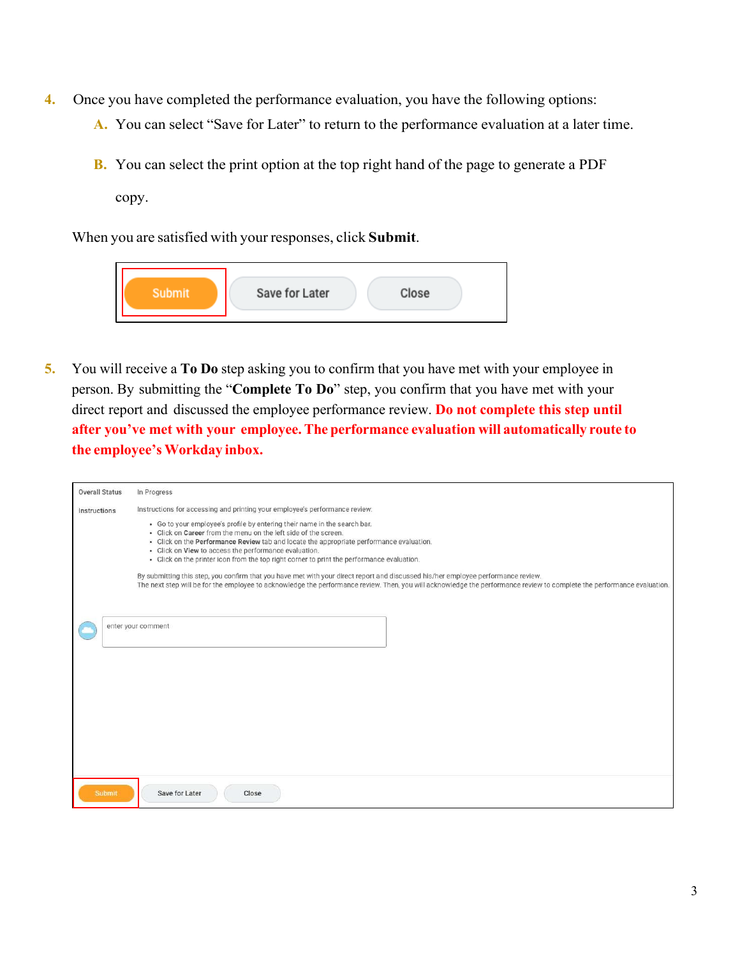- **4.** Once you have completed the performance evaluation, you have the following options:
	- **A.** You can select "Save for Later" to return to the performance evaluation at a later time.
	- **B.** You can select the print option at the top right hand of the page to generate a PDF

copy.

When you are satisfied with your responses, click **Submit**.



**5.** You will receive a **To Do** step asking you to confirm that you have met with your employee in person. By submitting the "**Complete To Do**" step, you confirm that you have met with your direct report and discussed the employee performance review. **Do not complete this step until after you've met with your employee.The performance evaluation will automatically route to the employee's Workday inbox.**

| <b>Overall Status</b> | In Progress                                                                                                                                                                                                                                                                                                                                                                                                                                                                                                                                                                                                                                                                                                     |
|-----------------------|-----------------------------------------------------------------------------------------------------------------------------------------------------------------------------------------------------------------------------------------------------------------------------------------------------------------------------------------------------------------------------------------------------------------------------------------------------------------------------------------------------------------------------------------------------------------------------------------------------------------------------------------------------------------------------------------------------------------|
|                       |                                                                                                                                                                                                                                                                                                                                                                                                                                                                                                                                                                                                                                                                                                                 |
| Instructions          | Instructions for accessing and printing your employee's performance review:                                                                                                                                                                                                                                                                                                                                                                                                                                                                                                                                                                                                                                     |
|                       | · Go to your employee's profile by entering their name in the search bar.<br>- Click on Career from the menu on the left side of the screen.<br>- Click on the Performance Review tab and locate the appropriate performance evaluation.<br>· Click on View to access the performance evaluation.<br>- Click on the printer icon from the top right corner to print the performance evaluation.<br>By submitting this step, you confirm that you have met with your direct report and discussed his/her employee performance review.<br>The next step will be for the employee to acknowledge the performance review. Then, you will acknowledge the performance review to complete the performance evaluation. |
|                       | enter your comment                                                                                                                                                                                                                                                                                                                                                                                                                                                                                                                                                                                                                                                                                              |
|                       |                                                                                                                                                                                                                                                                                                                                                                                                                                                                                                                                                                                                                                                                                                                 |
| <b>Submit</b>         | Save for Later<br>Close                                                                                                                                                                                                                                                                                                                                                                                                                                                                                                                                                                                                                                                                                         |